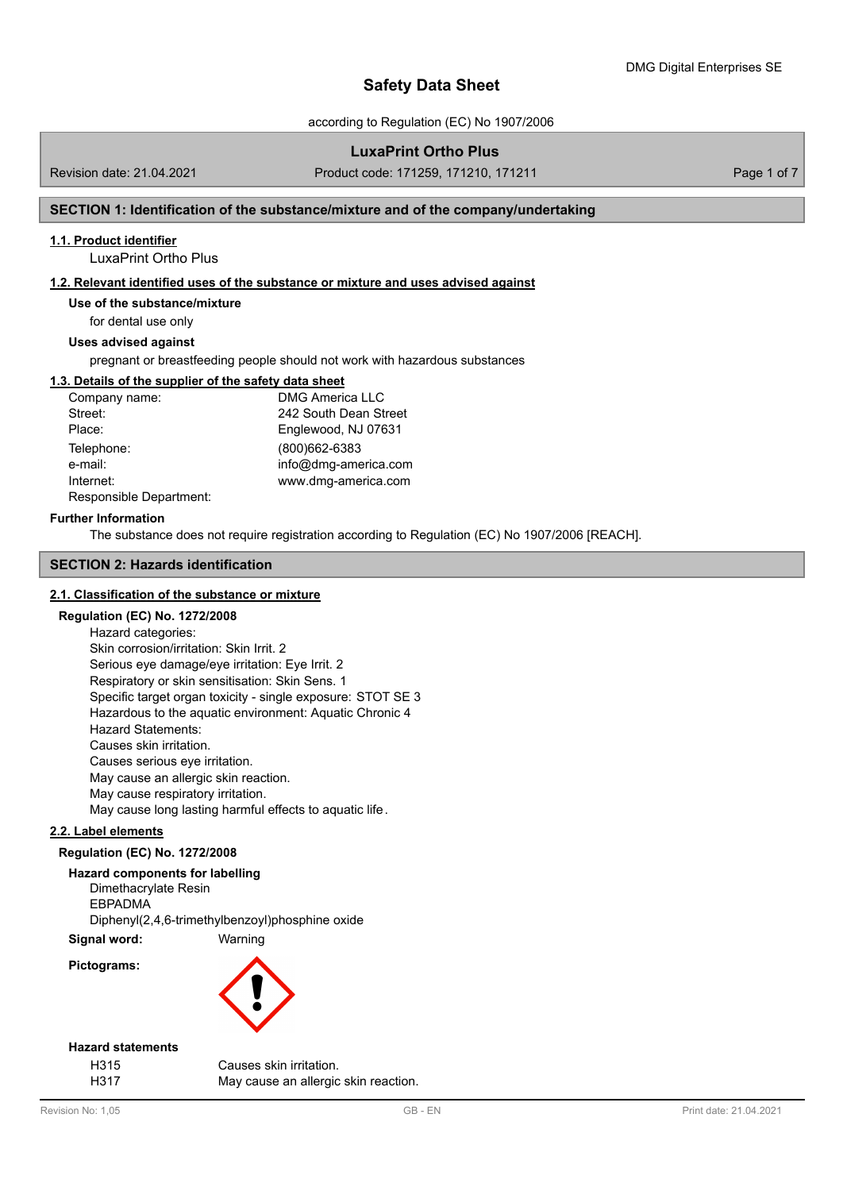according to Regulation (EC) No 1907/2006

# **LuxaPrint Ortho Plus**

Revision date: 21.04.2021 Product code: 171259, 171210, 171211 Page 1 of 7

## **SECTION 1: Identification of the substance/mixture and of the company/undertaking**

## **1.1. Product identifier**

LuxaPrint Ortho Plus

# **1.2. Relevant identified uses of the substance or mixture and uses advised against**

**Use of the substance/mixture**

for dental use only

# **Uses advised against**

pregnant or breastfeeding people should not work with hazardous substances

#### **1.3. Details of the supplier of the safety data sheet**

| Company name:           | <b>DMG America LLC</b> |
|-------------------------|------------------------|
| Street:                 | 242 South Dean Street  |
| Place:                  | Englewood, NJ 07631    |
| Telephone:              | (800)662-6383          |
| e-mail:                 | info@dmg-america.com   |
| Internet:               | www.dmg-america.com    |
| Responsible Department: |                        |

#### **Further Information**

The substance does not require registration according to Regulation (EC) No 1907/2006 [REACH].

## **SECTION 2: Hazards identification**

## **2.1. Classification of the substance or mixture**

## **Regulation (EC) No. 1272/2008**

Hazard categories: Skin corrosion/irritation: Skin Irrit. 2 Serious eye damage/eye irritation: Eye Irrit. 2 Respiratory or skin sensitisation: Skin Sens. 1 Specific target organ toxicity - single exposure: STOT SE 3 Hazardous to the aquatic environment: Aquatic Chronic 4 Hazard Statements: Causes skin irritation. Causes serious eye irritation. May cause an allergic skin reaction. May cause respiratory irritation. May cause long lasting harmful effects to aquatic life.

# **2.2. Label elements**

#### **Regulation (EC) No. 1272/2008**

## **Hazard components for labelling**

Dimethacrylate Resin EBPADMA Diphenyl(2,4,6-trimethylbenzoyl)phosphine oxide

**Signal word:** Warning

**Pictograms:**



### **Hazard statements**

H315 Causes skin irritation. H317 May cause an allergic skin reaction.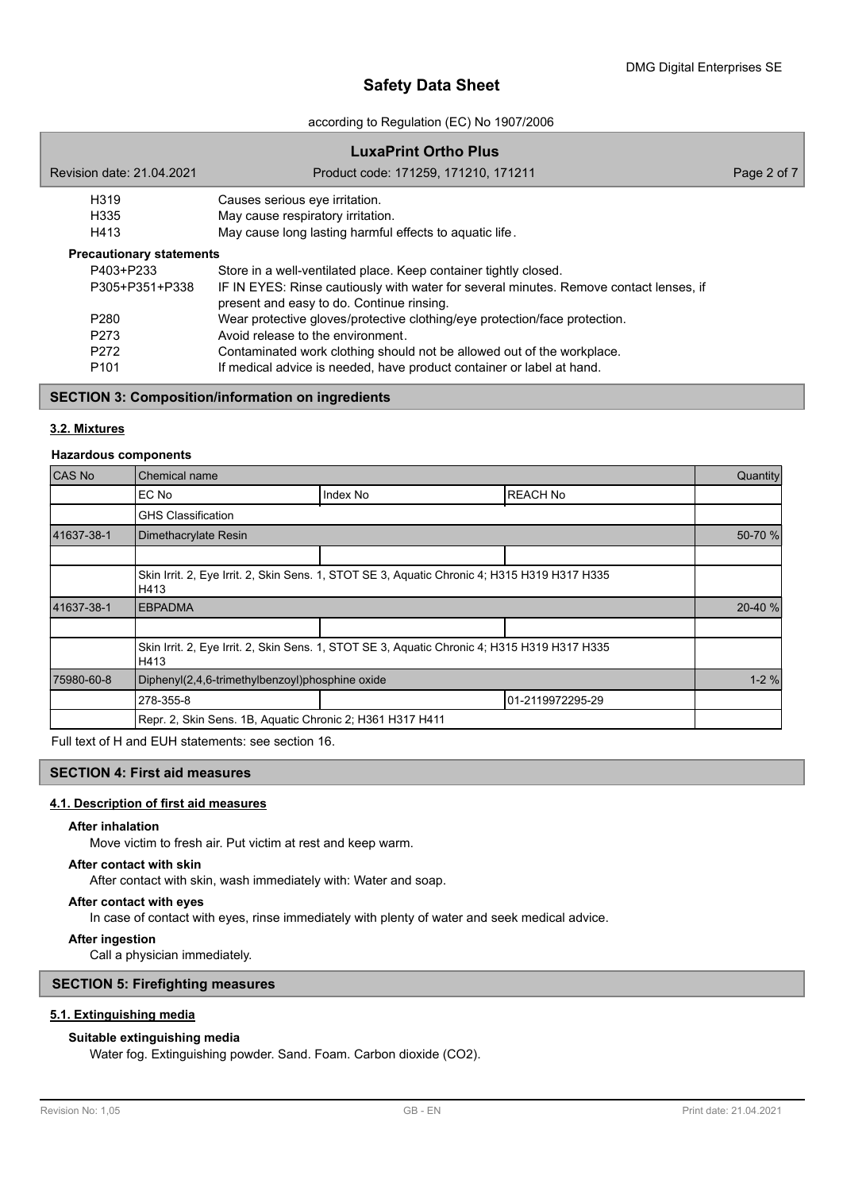according to Regulation (EC) No 1907/2006

# **LuxaPrint Ortho Plus** Revision date: 21.04.2021 Product code: 171259, 171210, 171211 Page 2 of 7 H319 Causes serious eye irritation. H335 May cause respiratory irritation. H413 May cause long lasting harmful effects to aquatic life. P403+P233 Store in a well-ventilated place. Keep container tightly closed. P305+P351+P338 IF IN EYES: Rinse cautiously with water for several minutes. Remove contact lenses, if present and easy to do. Continue rinsing. P280 Wear protective gloves/protective clothing/eye protection/face protection. P273 Avoid release to the environment. P272 Contaminated work clothing should not be allowed out of the workplace. P101 If medical advice is needed, have product container or label at hand. **Precautionary statements**

### **SECTION 3: Composition/information on ingredients**

### **3.2. Mixtures**

#### **Hazardous components**

| <b>CAS No</b> | <b>Chemical name</b>                                      |                                                                                              |                  |          |  |
|---------------|-----------------------------------------------------------|----------------------------------------------------------------------------------------------|------------------|----------|--|
|               | EC No                                                     | Index No                                                                                     | <b>REACH No</b>  |          |  |
|               | <b>GHS Classification</b>                                 |                                                                                              |                  |          |  |
| 41637-38-1    | Dimethacrylate Resin                                      |                                                                                              |                  | 50-70 %  |  |
|               |                                                           |                                                                                              |                  |          |  |
|               | H413                                                      | Skin Irrit. 2, Eye Irrit. 2, Skin Sens. 1, STOT SE 3, Aquatic Chronic 4; H315 H319 H317 H335 |                  |          |  |
| 41637-38-1    | <b>EBPADMA</b>                                            |                                                                                              |                  |          |  |
|               |                                                           |                                                                                              |                  |          |  |
|               | H413                                                      | Skin Irrit. 2, Eye Irrit. 2, Skin Sens. 1, STOT SE 3, Aguatic Chronic 4; H315 H319 H317 H335 |                  |          |  |
| 75980-60-8    | Diphenyl(2,4,6-trimethylbenzoyl)phosphine oxide           |                                                                                              |                  | $1 - 2%$ |  |
|               | 278-355-8                                                 |                                                                                              | 01-2119972295-29 |          |  |
|               | Repr. 2, Skin Sens. 1B, Aquatic Chronic 2; H361 H317 H411 |                                                                                              |                  |          |  |

Full text of H and EUH statements: see section 16.

## **SECTION 4: First aid measures**

# **4.1. Description of first aid measures**

#### **After inhalation**

Move victim to fresh air. Put victim at rest and keep warm.

### **After contact with skin**

After contact with skin, wash immediately with: Water and soap.

#### **After contact with eyes**

In case of contact with eyes, rinse immediately with plenty of water and seek medical advice.

#### **After ingestion**

Call a physician immediately.

## **SECTION 5: Firefighting measures**

## **5.1. Extinguishing media**

## **Suitable extinguishing media**

Water fog. Extinguishing powder. Sand. Foam. Carbon dioxide (CO2).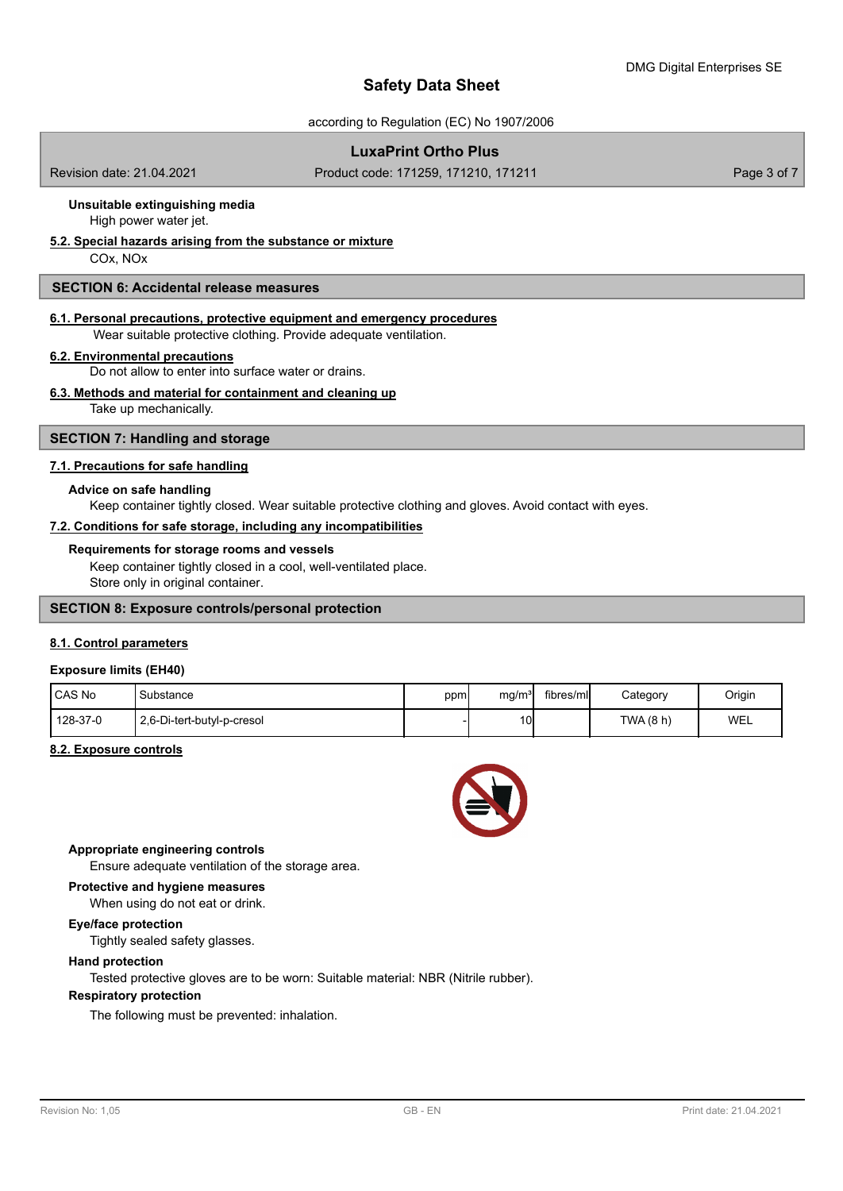according to Regulation (EC) No 1907/2006

# **LuxaPrint Ortho Plus**

Revision date: 21.04.2021 Product code: 171259, 171210, 171211 Page 3 of 7

# **Unsuitable extinguishing media**

High power water jet.

# **5.2. Special hazards arising from the substance or mixture**

COx, NOx

## **SECTION 6: Accidental release measures**

#### **6.1. Personal precautions, protective equipment and emergency procedures**

Wear suitable protective clothing. Provide adequate ventilation.

#### **6.2. Environmental precautions**

Do not allow to enter into surface water or drains.

# **6.3. Methods and material for containment and cleaning up**

Take up mechanically.

## **SECTION 7: Handling and storage**

### **7.1. Precautions for safe handling**

#### **Advice on safe handling**

Keep container tightly closed. Wear suitable protective clothing and gloves. Avoid contact with eyes.

### **7.2. Conditions for safe storage, including any incompatibilities**

#### **Requirements for storage rooms and vessels**

Keep container tightly closed in a cool, well-ventilated place. Store only in original container.

#### **SECTION 8: Exposure controls/personal protection**

#### **8.1. Control parameters**

#### **Exposure limits (EH40)**

| <b>CAS No</b> | Substance                  | ppm | mg/m <sup>3</sup> | fibres/ml | Category  | Origin     |
|---------------|----------------------------|-----|-------------------|-----------|-----------|------------|
| 128-37-0      | 2,6-Di-tert-butyl-p-cresol |     | 10 <sup>1</sup>   |           | TWA (8 h) | <b>WEL</b> |

#### **8.2. Exposure controls**



## **Appropriate engineering controls**

Ensure adequate ventilation of the storage area.

# **Protective and hygiene measures**

When using do not eat or drink.

# **Eye/face protection**

Tightly sealed safety glasses.

## **Hand protection**

Tested protective gloves are to be worn: Suitable material: NBR (Nitrile rubber).

# **Respiratory protection**

The following must be prevented: inhalation.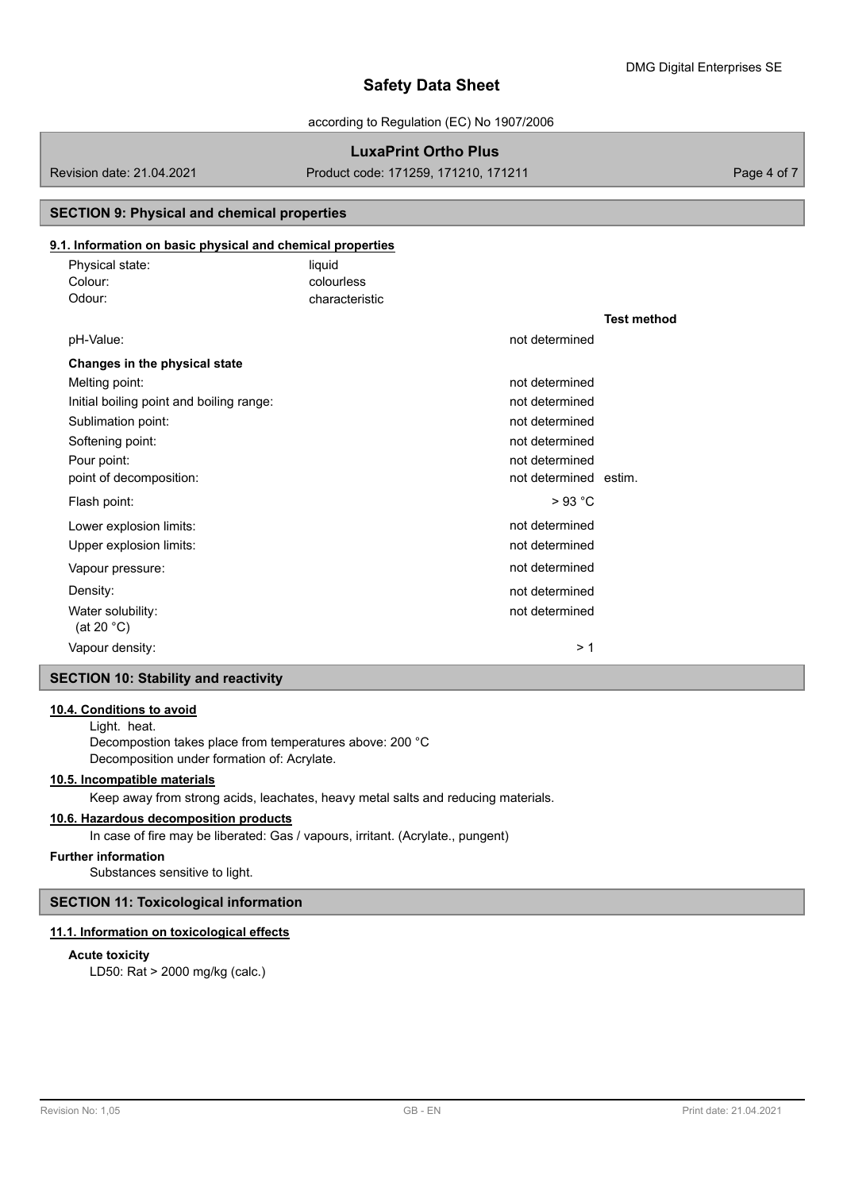according to Regulation (EC) No 1907/2006

# **LuxaPrint Ortho Plus**

Revision date: 21.04.2021 Product code: 171259, 171210, 171211 Page 4 of 7

# **SECTION 9: Physical and chemical properties**

# **9.1. Information on basic physical and chemical properties**

| Physical state: | liauid         |
|-----------------|----------------|
| Colour:         | colourless     |
| Odour:          | characteristic |

|                                             |                       | <b>Test method</b> |
|---------------------------------------------|-----------------------|--------------------|
| pH-Value:                                   | not determined        |                    |
| Changes in the physical state               |                       |                    |
| Melting point:                              | not determined        |                    |
| Initial boiling point and boiling range:    | not determined        |                    |
| Sublimation point:                          | not determined        |                    |
| Softening point:                            | not determined        |                    |
| Pour point:                                 | not determined        |                    |
| point of decomposition:                     | not determined estim. |                    |
| Flash point:                                | >93 °C                |                    |
| Lower explosion limits:                     | not determined        |                    |
| Upper explosion limits:                     | not determined        |                    |
| Vapour pressure:                            | not determined        |                    |
| Density:                                    | not determined        |                    |
| Water solubility:<br>(at 20 $^{\circ}$ C)   | not determined        |                    |
| Vapour density:                             | >1                    |                    |
| <b>SECTION 10: Stability and reactivity</b> |                       |                    |

#### **10.4. Conditions to avoid**

Light. heat. Decompostion takes place from temperatures above: 200 °C Decomposition under formation of: Acrylate.

# **10.5. Incompatible materials**

Keep away from strong acids, leachates, heavy metal salts and reducing materials.

# **10.6. Hazardous decomposition products**

In case of fire may be liberated: Gas / vapours, irritant. (Acrylate., pungent)

#### **Further information**

Substances sensitive to light.

# **SECTION 11: Toxicological information**

## **11.1. Information on toxicological effects**

#### **Acute toxicity**

LD50: Rat > 2000 mg/kg (calc.)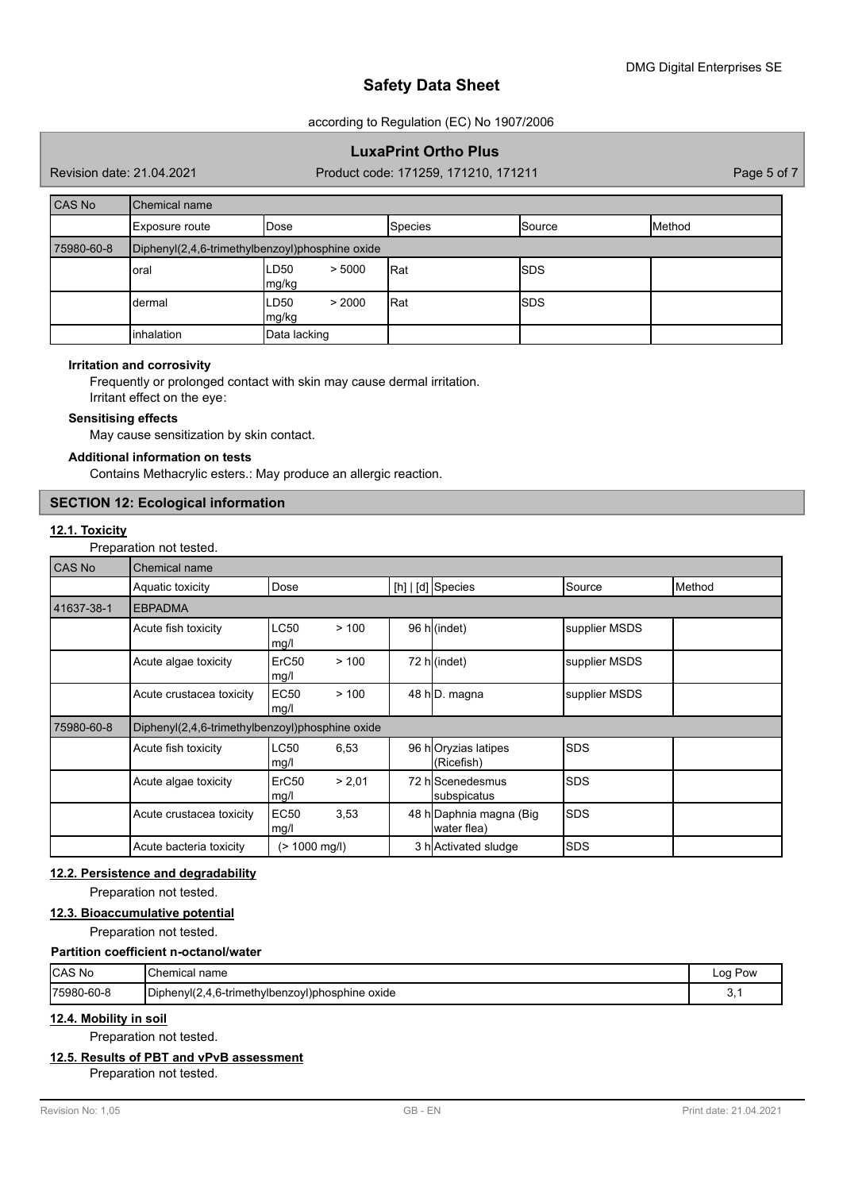according to Regulation (EC) No 1907/2006

# **LuxaPrint Ortho Plus**

Revision date: 21.04.2021 Product code: 171259, 171210, 171211 Page 5 of 7

| <b>CAS No</b> | Chemical name                                   |                         |                |             |        |
|---------------|-------------------------------------------------|-------------------------|----------------|-------------|--------|
|               | Exposure route                                  | Dose                    | <b>Species</b> | Source      | Method |
| 75980-60-8    | Diphenyl(2,4,6-trimethylbenzoyl)phosphine oxide |                         |                |             |        |
|               | oral                                            | LD50<br>> 5000<br>mg/kg | Rat            | <b>ISDS</b> |        |
|               | dermal                                          | LD50<br>> 2000<br>mg/kg | Rat            | <b>ISDS</b> |        |
|               | inhalation                                      | Data lacking            |                |             |        |

#### **Irritation and corrosivity**

Frequently or prolonged contact with skin may cause dermal irritation. Irritant effect on the eye:

#### **Sensitising effects**

May cause sensitization by skin contact.

## **Additional information on tests**

Contains Methacrylic esters.: May produce an allergic reaction.

## **SECTION 12: Ecological information**

# **12.1. Toxicity**

Preparation not tested.

| CAS No     | <b>Chemical name</b>                            |                           |        |                                        |               |        |
|------------|-------------------------------------------------|---------------------------|--------|----------------------------------------|---------------|--------|
|            | Aquatic toxicity                                | Dose                      |        | $[h]   [d]$ Species                    | Source        | Method |
| 41637-38-1 | <b>EBPADMA</b>                                  |                           |        |                                        |               |        |
|            | Acute fish toxicity                             | <b>LC50</b><br>mg/l       | >100   | 96 h(indet)                            | supplier MSDS |        |
|            | Acute algae toxicity                            | ErC <sub>50</sub><br>mg/l | >100   | 72 h (indet)                           | supplier MSDS |        |
|            | Acute crustacea toxicity                        | <b>EC50</b><br>mg/l       | >100   | 48 h <sub>D</sub> . magna              | supplier MSDS |        |
| 75980-60-8 | Diphenyl(2,4,6-trimethylbenzoyl)phosphine oxide |                           |        |                                        |               |        |
|            | Acute fish toxicity                             | <b>LC50</b><br>mg/l       | 6,53   | 96 hOryzias latipes<br>(Ricefish)      | <b>SDS</b>    |        |
|            | Acute algae toxicity                            | ErC50<br>mg/l             | > 2.01 | 72 hlScenedesmus<br>subspicatus        | <b>ISDS</b>   |        |
|            | Acute crustacea toxicity                        | <b>EC50</b><br>mg/l       | 3,53   | 48 h Daphnia magna (Big<br>water flea) | <b>SDS</b>    |        |
|            | Acute bacteria toxicity                         | $(> 1000$ mg/l)           |        | 3 h Activated sludge                   | <b>ISDS</b>   |        |

#### **12.2. Persistence and degradability**

Preparation not tested.

# **12.3. Bioaccumulative potential**

Preparation not tested.

### **Partition coefficient n-octanol/water**

| CAS No      | <sup>∖</sup> Chemical name                                | Loa Pow |
|-------------|-----------------------------------------------------------|---------|
| 175980-60-8 | .<br>Diphenvl(2.<br>.4.6-trimethylbenzoyl)phosphine oxide | J.      |

### **12.4. Mobility in soil**

Preparation not tested.

## **12.5. Results of PBT and vPvB assessment**

Preparation not tested.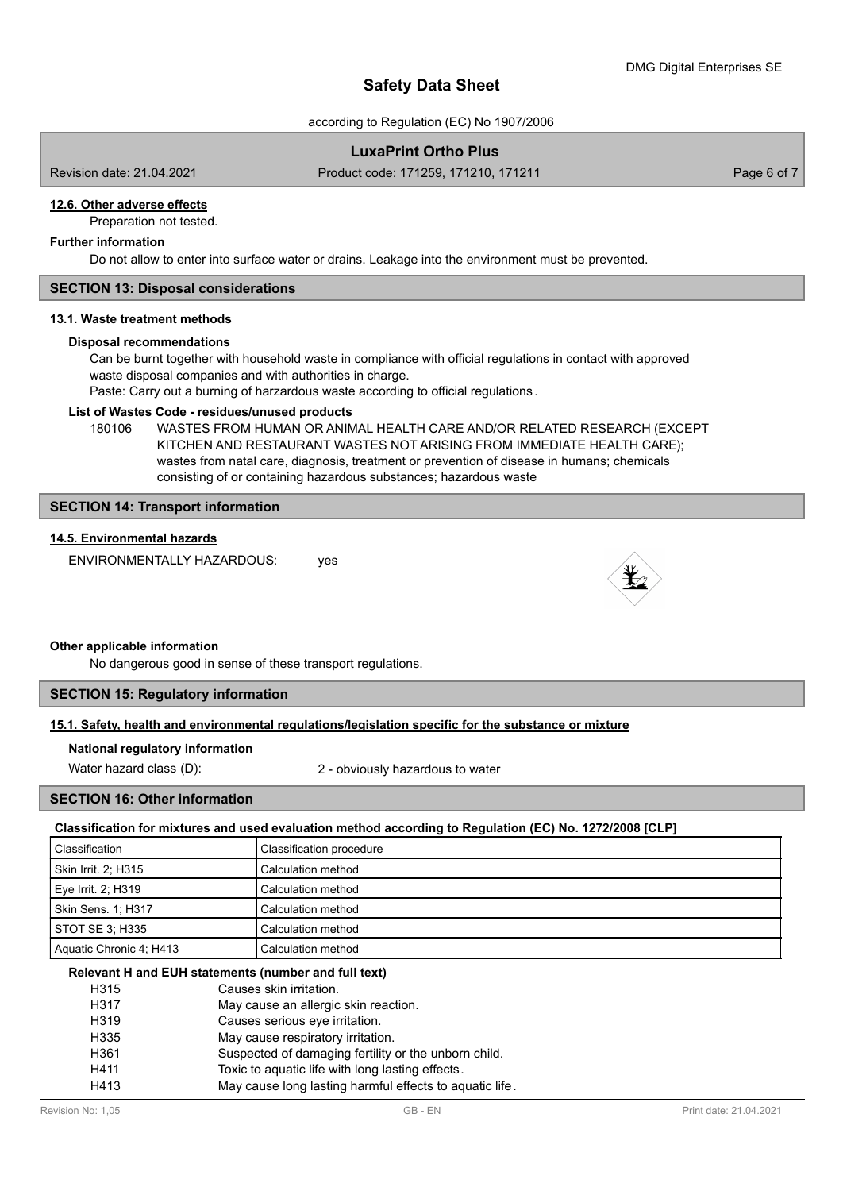according to Regulation (EC) No 1907/2006

# **LuxaPrint Ortho Plus**

Revision date: 21.04.2021 Product code: 171259, 171210, 171211 Page 6 of 7

# **12.6. Other adverse effects**

Preparation not tested.

# **Further information**

Do not allow to enter into surface water or drains. Leakage into the environment must be prevented.

## **SECTION 13: Disposal considerations**

#### **13.1. Waste treatment methods**

#### **Disposal recommendations**

Can be burnt together with household waste in compliance with official regulations in contact with approved waste disposal companies and with authorities in charge.

Paste: Carry out a burning of harzardous waste according to official regulations .

### **List of Wastes Code - residues/unused products**

180106 WASTES FROM HUMAN OR ANIMAL HEALTH CARE AND/OR RELATED RESEARCH (EXCEPT KITCHEN AND RESTAURANT WASTES NOT ARISING FROM IMMEDIATE HEALTH CARE); wastes from natal care, diagnosis, treatment or prevention of disease in humans; chemicals consisting of or containing hazardous substances; hazardous waste

## **SECTION 14: Transport information**

## **14.5. Environmental hazards**

ENVIRONMENTALLY HAZARDOUS: ves



#### **Other applicable information**

No dangerous good in sense of these transport regulations.

## **SECTION 15: Regulatory information**

**15.1. Safety, health and environmental regulations/legislation specific for the substance or mixture**

#### **National regulatory information**

Water hazard class (D): 2 - obviously hazardous to water

## **SECTION 16: Other information**

**Classification for mixtures and used evaluation method according to Regulation (EC) No. 1272/2008 [CLP]**

| Classification          | Classification procedure |
|-------------------------|--------------------------|
| Skin Irrit. 2; H315     | Calculation method       |
| Eye Irrit. 2; H319      | Calculation method       |
| Skin Sens. 1; H317      | Calculation method       |
| STOT SE 3: H335         | Calculation method       |
| Aquatic Chronic 4; H413 | Calculation method       |

## **Relevant H and EUH statements (number and full text)**

| H315 | Causes skin irritation.                                 |
|------|---------------------------------------------------------|
| H317 | May cause an allergic skin reaction.                    |
| H319 | Causes serious eye irritation.                          |
| H335 | May cause respiratory irritation.                       |
| H361 | Suspected of damaging fertility or the unborn child.    |
| H411 | Toxic to aquatic life with long lasting effects.        |
| H413 | May cause long lasting harmful effects to aquatic life. |
|      |                                                         |